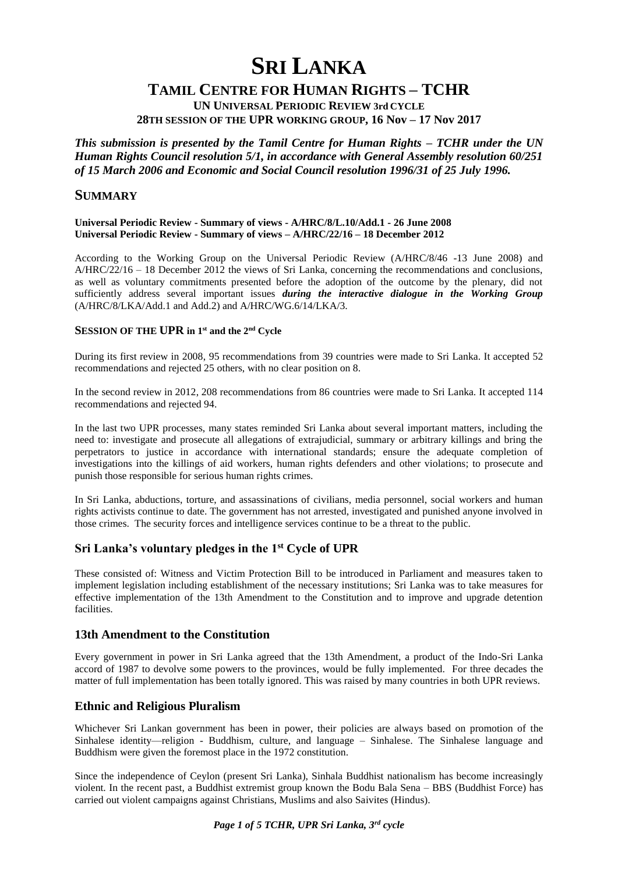# **SRI LANKA**

# **TAMIL CENTRE FOR HUMAN RIGHTS – TCHR**

**UN UNIVERSAL PERIODIC REVIEW 3rd CYCLE 28TH SESSION OF THE UPR WORKING GROUP, 16 Nov – 17 Nov 2017**

*This submission is presented by the Tamil Centre for Human Rights – TCHR under the UN Human Rights Council resolution 5/1, in accordance with General Assembly resolution 60/251 of 15 March 2006 and Economic and Social Council resolution 1996/31 of 25 July 1996.* 

# **SUMMARY**

#### **Universal Periodic Review - Summary of views - A/HRC/8/L.10/Add.1 - 26 June 2008 Universal Periodic Review - Summary of views – A/HRC/22/16 – 18 December 2012**

According to the Working Group on the Universal Periodic Review (A/HRC/8/46 -13 June 2008) and A/HRC/22/16 – 18 December 2012 the views of Sri Lanka, concerning the recommendations and conclusions, as well as voluntary commitments presented before the adoption of the outcome by the plenary, did not sufficiently address several important issues *during the interactive dialogue in the Working Group*  (A/HRC/8/LKA/Add.1 and Add.2) and A/HRC/WG.6/14/LKA/3.

# **SESSION OF THE UPR in 1 st and the 2nd Cycle**

During its first review in 2008, 95 recommendations from 39 countries were made to Sri Lanka. It accepted 52 recommendations and rejected 25 others, with no clear position on 8.

In the second review in 2012, 208 recommendations from 86 countries were made to Sri Lanka. It accepted 114 recommendations and rejected 94.

In the last two UPR processes, many states reminded Sri Lanka about several important matters, including the need to: investigate and prosecute all allegations of extrajudicial, summary or arbitrary killings and bring the perpetrators to justice in accordance with international standards; ensure the adequate completion of investigations into the killings of aid workers, human rights defenders and other violations; to prosecute and punish those responsible for serious human rights crimes.

In Sri Lanka, abductions, torture, and assassinations of civilians, media personnel, social workers and human rights activists continue to date. The government has not arrested, investigated and punished anyone involved in those crimes. The security forces and intelligence services continue to be a threat to the public.

# **Sri Lanka's voluntary pledges in the 1st Cycle of UPR**

These consisted of: Witness and Victim Protection Bill to be introduced in Parliament and measures taken to implement legislation including establishment of the necessary institutions; Sri Lanka was to take measures for effective implementation of the 13th Amendment to the Constitution and to improve and upgrade detention facilities.

# **13th Amendment to the Constitution**

Every government in power in Sri Lanka agreed that the 13th Amendment, a product of the Indo-Sri Lanka accord of 1987 to devolve some powers to the provinces, would be fully implemented. For three decades the matter of full implementation has been totally ignored. This was raised by many countries in both UPR reviews.

# **Ethnic and Religious Pluralism**

Whichever Sri Lankan government has been in power, their policies are always based on promotion of the Sinhalese identity—religion - Buddhism, culture, and language – Sinhalese. The Sinhalese language and Buddhism were given the foremost place in the 1972 constitution.

Since the independence of Ceylon (present Sri Lanka), Sinhala Buddhist nationalism has become increasingly violent. In the recent past, a Buddhist extremist group known the Bodu Bala Sena – BBS (Buddhist Force) has carried out violent campaigns against Christians, Muslims and also Saivites (Hindus).

# *Page 1 of 5 TCHR, UPR Sri Lanka, 3rd cycle*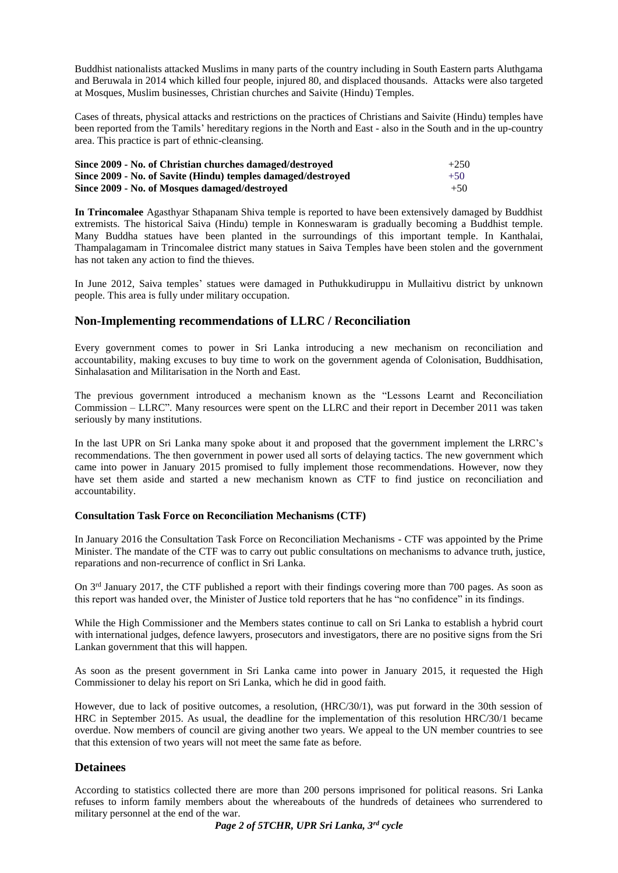Buddhist nationalists attacked Muslims in many parts of the country including in South Eastern parts Aluthgama and Beruwala in 2014 which killed four people, injured 80, and displaced thousands. Attacks were also targeted at Mosques, Muslim businesses, Christian churches and Saivite (Hindu) Temples.

Cases of threats, physical attacks and restrictions on the practices of Christians and Saivite (Hindu) temples have been reported from the Tamils' hereditary regions in the North and East - also in the South and in the up-country area. This practice is part of ethnic-cleansing.

| Since 2009 - No. of Christian churches damaged/destroved<br>Since 2009 - No. of Savite (Hindu) temples damaged/destroved<br>Since 2009 - No. of Mosques damaged/destroved | $+250$<br>$+50$<br>$+50$ |
|---------------------------------------------------------------------------------------------------------------------------------------------------------------------------|--------------------------|
|---------------------------------------------------------------------------------------------------------------------------------------------------------------------------|--------------------------|

**In Trincomalee** Agasthyar Sthapanam Shiva temple is reported to have been extensively damaged by Buddhist extremists. The historical Saiva (Hindu) temple in Konneswaram is gradually becoming a Buddhist temple. Many Buddha statues have been planted in the surroundings of this important temple. In Kanthalai, Thampalagamam in Trincomalee district many statues in Saiva Temples have been stolen and the government has not taken any action to find the thieves.

In June 2012, Saiva temples' statues were damaged in Puthukkudiruppu in Mullaitivu district by unknown people. This area is fully under military occupation.

# **Non-Implementing recommendations of LLRC / Reconciliation**

Every government comes to power in Sri Lanka introducing a new mechanism on reconciliation and accountability, making excuses to buy time to work on the government agenda of Colonisation, Buddhisation, Sinhalasation and Militarisation in the North and East.

The previous government introduced a mechanism known as the "Lessons Learnt and Reconciliation Commission – LLRC". Many resources were spent on the LLRC and their report in December 2011 was taken seriously by many institutions.

In the last UPR on Sri Lanka many spoke about it and proposed that the government implement the LRRC's recommendations. The then government in power used all sorts of delaying tactics. The new government which came into power in January 2015 promised to fully implement those recommendations. However, now they have set them aside and started a new mechanism known as CTF to find justice on reconciliation and accountability.

#### **Consultation Task Force on Reconciliation Mechanisms (CTF)**

In January 2016 the Consultation Task Force on Reconciliation Mechanisms - CTF was appointed by the Prime Minister. The mandate of the CTF was to carry out public consultations on mechanisms to advance truth, justice, reparations and non-recurrence of conflict in Sri Lanka.

On 3rd January 2017, the CTF published a report with their findings covering more than 700 pages. As soon as this report was handed over, the Minister of Justice told reporters that he has "no confidence" in its findings.

While the High Commissioner and the Members states continue to call on Sri Lanka to establish a hybrid court with international judges, defence lawyers, prosecutors and investigators, there are no positive signs from the Sri Lankan government that this will happen.

As soon as the present government in Sri Lanka came into power in January 2015, it requested the High Commissioner to delay his report on Sri Lanka, which he did in good faith.

However, due to lack of positive outcomes, a resolution, (HRC/30/1), was put forward in the 30th session of HRC in September 2015. As usual, the deadline for the implementation of this resolution HRC/30/1 became overdue. Now members of council are giving another two years. We appeal to the UN member countries to see that this extension of two years will not meet the same fate as before.

# **Detainees**

According to statistics collected there are more than 200 persons imprisoned for political reasons. Sri Lanka refuses to inform family members about the whereabouts of the hundreds of detainees who surrendered to military personnel at the end of the war.

*Page 2 of 5TCHR, UPR Sri Lanka, 3rd cycle*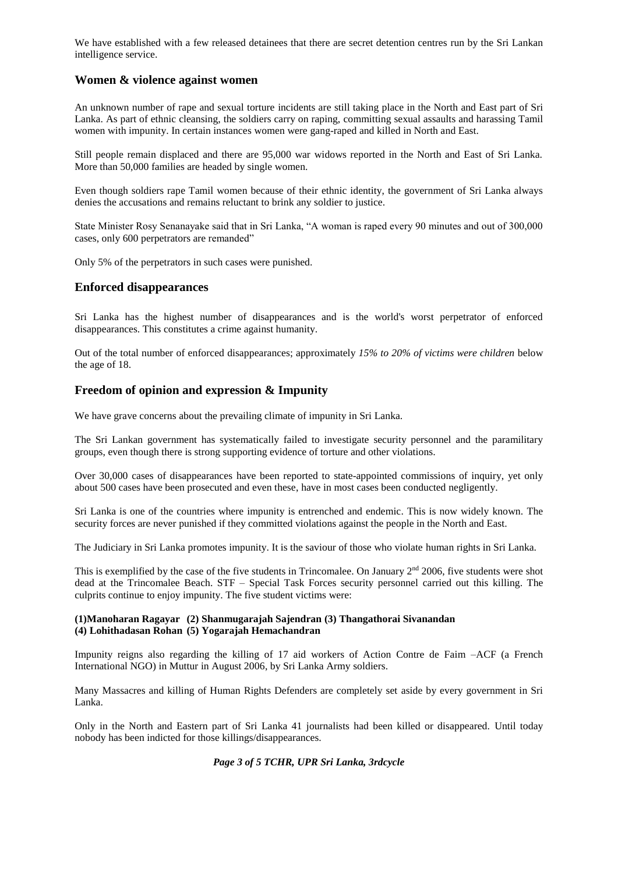We have established with a few released detainees that there are secret detention centres run by the Sri Lankan intelligence service.

# **Women & violence against women**

An unknown number of rape and sexual torture incidents are still taking place in the North and East part of Sri Lanka. As part of ethnic cleansing, the soldiers carry on raping, committing sexual assaults and harassing Tamil women with impunity. In certain instances women were gang-raped and killed in North and East.

Still people remain displaced and there are 95,000 war widows reported in the North and East of Sri Lanka. More than 50,000 families are headed by single women.

Even though soldiers rape Tamil women because of their ethnic identity, the government of Sri Lanka always denies the accusations and remains reluctant to brink any soldier to justice.

State Minister Rosy Senanayake said that in Sri Lanka, "A woman is raped every 90 minutes and out of 300,000 cases, only 600 perpetrators are remanded"

Only 5% of the perpetrators in such cases were punished.

# **Enforced disappearances**

Sri Lanka has the highest number of disappearances and is the world's worst perpetrator of enforced disappearances. This constitutes a crime against humanity.

Out of the total number of enforced disappearances; approximately *15% to 20% of victims were children* below the age of 18.

# **Freedom of opinion and expression & Impunity**

We have grave concerns about the prevailing climate of impunity in Sri Lanka.

The Sri Lankan government has systematically failed to investigate security personnel and the paramilitary groups, even though there is strong supporting evidence of torture and other violations.

Over 30,000 cases of disappearances have been reported to state-appointed commissions of inquiry, yet only about 500 cases have been prosecuted and even these, have in most cases been conducted negligently.

Sri Lanka is one of the countries where impunity is entrenched and endemic. This is now widely known. The security forces are never punished if they committed violations against the people in the North and East.

The Judiciary in Sri Lanka promotes impunity. It is the saviour of those who violate human rights in Sri Lanka.

This is exemplified by the case of the five students in Trincomalee. On January  $2<sup>nd</sup>$  2006, five students were shot dead at the Trincomalee Beach. STF – Special Task Forces security personnel carried out this killing. The culprits continue to enjoy impunity. The five student victims were:

#### **(1)Manoharan Ragayar (2) Shanmugarajah Sajendran (3) Thangathorai Sivanandan (4) Lohithadasan Rohan (5) Yogarajah Hemachandran**

Impunity reigns also regarding the killing of 17 aid workers of Action Contre de Faim –ACF (a French International NGO) in Muttur in August 2006, by Sri Lanka Army soldiers.

Many Massacres and killing of Human Rights Defenders are completely set aside by every government in Sri Lanka.

Only in the North and Eastern part of Sri Lanka 41 journalists had been killed or disappeared. Until today nobody has been indicted for those killings/disappearances.

#### *Page 3 of 5 TCHR, UPR Sri Lanka, 3rdcycle*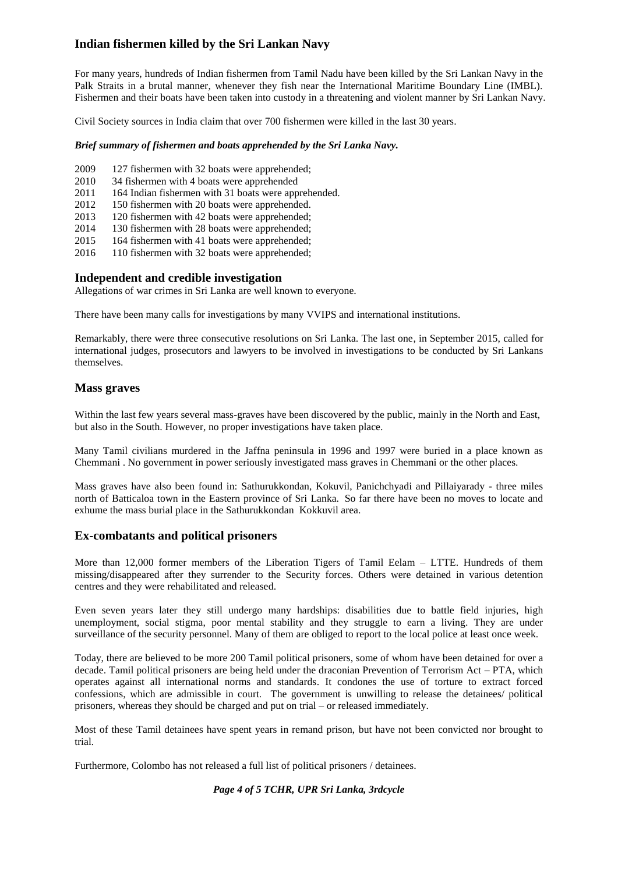# **Indian fishermen killed by the Sri Lankan Navy**

For many years, hundreds of Indian fishermen from Tamil Nadu have been killed by the Sri Lankan Navy in the Palk Straits in a brutal manner, whenever they fish near the International Maritime Boundary Line (IMBL). Fishermen and their boats have been taken into custody in a threatening and violent manner by Sri Lankan Navy.

Civil Society sources in India claim that over 700 fishermen were killed in the last 30 years.

#### *Brief summary of fishermen and boats apprehended by the Sri Lanka Navy.*

- 2009 127 fishermen with 32 boats were apprehended;
- 2010 34 fishermen with 4 boats were apprehended
- 2011 164 Indian fishermen with 31 boats were apprehended.
- 2012 150 fishermen with 20 boats were apprehended.
- 2013 120 fishermen with 42 boats were apprehended;
- 2014 130 fishermen with 28 boats were apprehended;
- 2015 164 fishermen with 41 boats were apprehended;
- 2016 110 fishermen with 32 boats were apprehended;

#### **Independent and credible investigation**

Allegations of war crimes in Sri Lanka are well known to everyone.

There have been many calls for investigations by many VVIPS and international institutions.

Remarkably, there were three consecutive resolutions on Sri Lanka. The last one, in September 2015, called for international judges, prosecutors and lawyers to be involved in investigations to be conducted by Sri Lankans themselves.

# **Mass graves**

Within the last few years several mass-graves have been discovered by the public, mainly in the North and East, but also in the South. However, no proper investigations have taken place.

Many Tamil civilians murdered in the Jaffna peninsula in 1996 and 1997 were buried in a place known as Chemmani . No government in power seriously investigated mass graves in Chemmani or the other places.

Mass graves have also been found in: Sathurukkondan, Kokuvil, Panichchyadi and Pillaiyarady - three miles north of Batticaloa town in the Eastern province of Sri Lanka. So far there have been no moves to locate and exhume the mass burial place in the Sathurukkondan Kokkuvil area.

# **Ex-combatants and political prisoners**

More than 12,000 former members of the Liberation Tigers of Tamil Eelam – LTTE. Hundreds of them missing/disappeared after they surrender to the Security forces. Others were detained in various detention centres and they were rehabilitated and released.

Even seven years later they still undergo many hardships: disabilities due to battle field injuries, high unemployment, social stigma, poor mental stability and they struggle to earn a living. They are under surveillance of the security personnel. Many of them are obliged to report to the local police at least once week.

Today, there are believed to be more 200 Tamil political prisoners, some of whom have been detained for over a decade. Tamil political prisoners are being held under the draconian Prevention of Terrorism Act – PTA, which operates against all international norms and standards. It condones the use of torture to extract forced confessions, which are admissible in court. The government is unwilling to release the detainees/ political prisoners, whereas they should be charged and put on trial – or released immediately.

Most of these Tamil detainees have spent years in remand prison, but have not been convicted nor brought to trial.

Furthermore, Colombo has not released a full list of political prisoners / detainees.

# *Page 4 of 5 TCHR, UPR Sri Lanka, 3rdcycle*